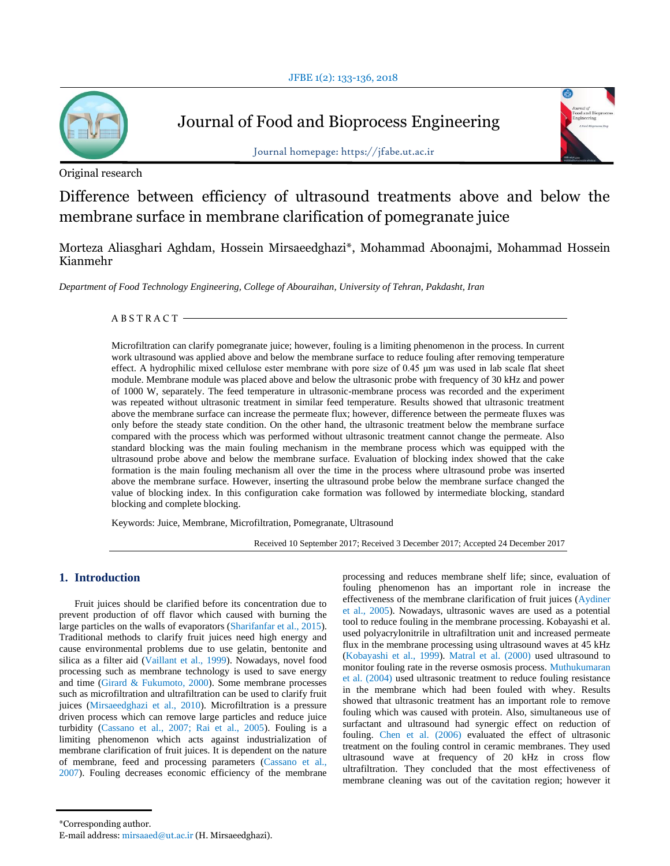

# Journal of Food and Bioprocess Engineering



Journal homepage: https://jfabe.ut.ac.ir

Original research

Difference between efficiency of ultrasound treatments above and below the membrane surface in membrane clarification of pomegranate juice

Morteza Aliasghari Aghdam, Hossein Mirsaeedghazi\*, Mohammad Aboonajmi, Mohammad Hossein Kianmehr

*Department of Food Technology Engineering, College of Abouraihan, University of Tehran, Pakdasht, Iran*

 $ABSTRACT -$ 

Microfiltration can clarify pomegranate juice; however, fouling is a limiting phenomenon in the process. In current work ultrasound was applied above and below the membrane surface to reduce fouling after removing temperature effect. A hydrophilic mixed cellulose ester membrane with pore size of 0.45 μm was used in lab scale flat sheet module. Membrane module was placed above and below the ultrasonic probe with frequency of 30 kHz and power of 1000 W, separately. The feed temperature in ultrasonic-membrane process was recorded and the experiment was repeated without ultrasonic treatment in similar feed temperature. Results showed that ultrasonic treatment above the membrane surface can increase the permeate flux; however, difference between the permeate fluxes was only before the steady state condition. On the other hand, the ultrasonic treatment below the membrane surface compared with the process which was performed without ultrasonic treatment cannot change the permeate. Also standard blocking was the main fouling mechanism in the membrane process which was equipped with the ultrasound probe above and below the membrane surface. Evaluation of blocking index showed that the cake formation is the main fouling mechanism all over the time in the process where ultrasound probe was inserted above the membrane surface. However, inserting the ultrasound probe below the membrane surface changed the value of blocking index. In this configuration cake formation was followed by intermediate blocking, standard blocking and complete blocking.

Keywords: Juice, Membrane, Microfiltration, Pomegranate, Ultrasound

Received 10 September 2017; Received 3 December 2017; Accepted 24 December 2017

# **1. Introduction**

Fruit juices should be clarified before its concentration due to prevent production of off flavor which caused with burning the large particles on the walls of evaporators (Sharifanfar et al., 2015). Traditional methods to clarify fruit juices need high energy and cause environmental problems due to use gelatin, bentonite and silica as a filter aid (Vaillant et al., 1999). Nowadays, novel food processing such as membrane technology is used to save energy and time (Girard & Fukumoto, 2000). Some membrane processes such as microfiltration and ultrafiltration can be used to clarify fruit juices (Mirsaeedghazi et al., 2010). Microfiltration is a pressure driven process which can remove large particles and reduce juice turbidity (Cassano et al., 2007; Rai et al., 2005). Fouling is a limiting phenomenon which acts against industrialization of membrane clarification of fruit juices. It is dependent on the nature of membrane, feed and processing parameters (Cassano et al., 2007). Fouling decreases economic efficiency of the membrane processing and reduces membrane shelf life; since, evaluation of fouling phenomenon has an important role in increase the effectiveness of the membrane clarification of fruit juices (Aydiner et al., 2005). Nowadays, ultrasonic waves are used as a potential tool to reduce fouling in the membrane processing. Kobayashi et al. used polyacrylonitrile in ultrafiltration unit and increased permeate flux in the membrane processing using ultrasound waves at 45 kHz (Kobayashi et al., 1999). Matral et al. (2000) used ultrasound to monitor fouling rate in the reverse osmosis process. Muthukumaran et al. (2004) used ultrasonic treatment to reduce fouling resistance in the membrane which had been fouled with whey. Results showed that ultrasonic treatment has an important role to remove fouling which was caused with protein. Also, simultaneous use of surfactant and ultrasound had synergic effect on reduction of fouling. Chen et al. (2006) evaluated the effect of ultrasonic treatment on the fouling control in ceramic membranes. They used ultrasound wave at frequency of 20 kHz in cross flow ultrafiltration. They concluded that the most effectiveness of membrane cleaning was out of the cavitation region; however it

<sup>\*</sup>Corresponding author.

E-mail address: mirsaaed@ut.ac.ir (H. Mirsaeedghazi).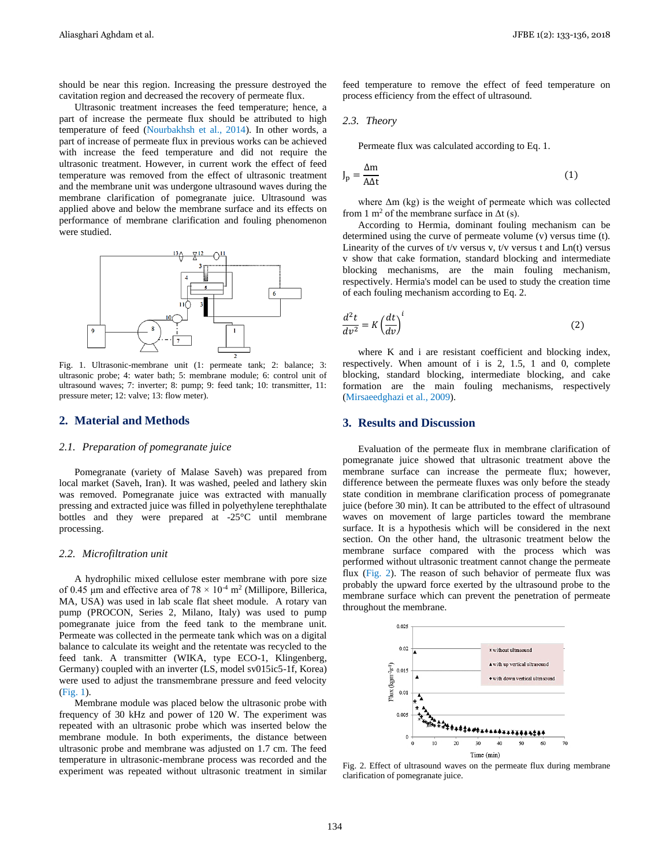should be near this region. Increasing the pressure destroyed the cavitation region and decreased the recovery of permeate flux.

Ultrasonic treatment increases the feed temperature; hence, a part of increase the permeate flux should be attributed to high temperature of feed (Nourbakhsh et al., 2014). In other words, a part of increase of permeate flux in previous works can be achieved with increase the feed temperature and did not require the ultrasonic treatment. However, in current work the effect of feed temperature was removed from the effect of ultrasonic treatment and the membrane unit was undergone ultrasound waves during the membrane clarification of pomegranate juice. Ultrasound was applied above and below the membrane surface and its effects on performance of membrane clarification and fouling phenomenon were studied.



Fig. 1. Ultrasonic-membrane unit (1: permeate tank; 2: balance; 3: ultrasonic probe; 4: water bath; 5: membrane module; 6: control unit of ultrasound waves; 7: inverter; 8: pump; 9: feed tank; 10: transmitter, 11: pressure meter; 12: valve; 13: flow meter).

# **2. Material and Methods**

#### *2.1. Preparation of pomegranate juice*

Pomegranate (variety of Malase Saveh) was prepared from local market (Saveh, Iran). It was washed, peeled and lathery skin was removed. Pomegranate juice was extracted with manually pressing and extracted juice was filled in polyethylene terephthalate bottles and they were prepared at -25°C until membrane processing.

#### *2.2. Microfiltration unit*

A hydrophilic mixed cellulose ester membrane with pore size of 0.45 µm and effective area of  $78 \times 10^{-4}$  m<sup>2</sup> (Millipore, Billerica, MA, USA) was used in lab scale flat sheet module. A rotary van pump (PROCON, Series 2, Milano, Italy) was used to pump pomegranate juice from the feed tank to the membrane unit. Permeate was collected in the permeate tank which was on a digital balance to calculate its weight and the retentate was recycled to the feed tank. A transmitter (WIKA, type ECO-1, Klingenberg, Germany) coupled with an inverter (LS, model sv015ic5-1f, Korea) were used to adjust the transmembrane pressure and feed velocity (Fig. 1).

Membrane module was placed below the ultrasonic probe with frequency of 30 kHz and power of 120 W. The experiment was repeated with an ultrasonic probe which was inserted below the membrane module. In both experiments, the distance between ultrasonic probe and membrane was adjusted on 1.7 cm. The feed temperature in ultrasonic-membrane process was recorded and the experiment was repeated without ultrasonic treatment in similar feed temperature to remove the effect of feed temperature on process efficiency from the effect of ultrasound.

### *2.3. Theory*

Permeate flux was calculated according to Eq. 1.

$$
J_p = \frac{\Delta m}{A \Delta t} \tag{1}
$$

where  $\Delta m$  (kg) is the weight of permeate which was collected from 1 m<sup>2</sup> of the membrane surface in  $\Delta t$  (s).

According to Hermia, dominant fouling mechanism can be determined using the curve of permeate volume (v) versus time (t). Linearity of the curves of t/v versus v, t/v versus t and  $Ln(t)$  versus v show that cake formation, standard blocking and intermediate blocking mechanisms, are the main fouling mechanism, respectively. Hermia's model can be used to study the creation time of each fouling mechanism according to Eq. 2.

$$
\frac{d^2t}{dv^2} = K \left(\frac{dt}{dv}\right)^i
$$
 (2)

where K and i are resistant coefficient and blocking index, respectively. When amount of i is 2, 1.5, 1 and 0, complete blocking, standard blocking, intermediate blocking, and cake formation are the main fouling mechanisms, respectively (Mirsaeedghazi et al., 2009).

# **3. Results and Discussion**

Evaluation of the permeate flux in membrane clarification of pomegranate juice showed that ultrasonic treatment above the membrane surface can increase the permeate flux; however, difference between the permeate fluxes was only before the steady state condition in membrane clarification process of pomegranate juice (before 30 min). It can be attributed to the effect of ultrasound waves on movement of large particles toward the membrane surface. It is a hypothesis which will be considered in the next section. On the other hand, the ultrasonic treatment below the membrane surface compared with the process which was performed without ultrasonic treatment cannot change the permeate flux (Fig. 2). The reason of such behavior of permeate flux was probably the upward force exerted by the ultrasound probe to the membrane surface which can prevent the penetration of permeate throughout the membrane.



Fig. 2. Effect of ultrasound waves on the permeate flux during membrane clarification of pomegranate juice.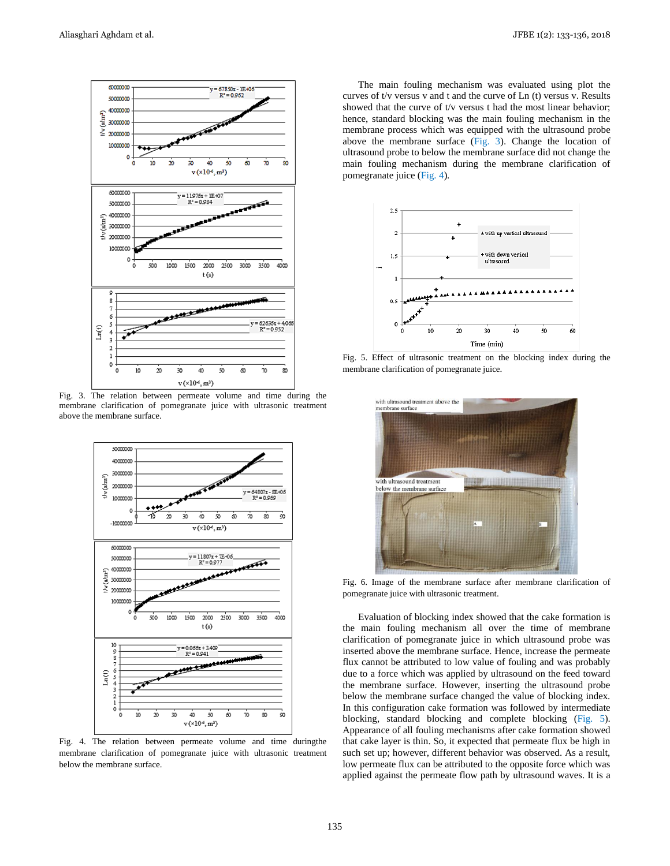

Fig. 3. The relation between permeate volume and time during the membrane clarification of pomegranate juice with ultrasonic treatment above the membrane surface.



Fig. 4. The relation between permeate volume and time duringthe membrane clarification of pomegranate juice with ultrasonic treatment below the membrane surface.

The main fouling mechanism was evaluated using plot the curves of t/v versus v and t and the curve of Ln (t) versus v. Results showed that the curve of t/v versus t had the most linear behavior; hence, standard blocking was the main fouling mechanism in the membrane process which was equipped with the ultrasound probe above the membrane surface (Fig. 3). Change the location of ultrasound probe to below the membrane surface did not change the main fouling mechanism during the membrane clarification of pomegranate juice (Fig. 4).



Fig. 5. Effect of ultrasonic treatment on the blocking index during the membrane clarification of pomegranate juice.



Fig. 6. Image of the membrane surface after membrane clarification of pomegranate juice with ultrasonic treatment.

Evaluation of blocking index showed that the cake formation is the main fouling mechanism all over the time of membrane clarification of pomegranate juice in which ultrasound probe was inserted above the membrane surface. Hence, increase the permeate flux cannot be attributed to low value of fouling and was probably due to a force which was applied by ultrasound on the feed toward the membrane surface. However, inserting the ultrasound probe below the membrane surface changed the value of blocking index. In this configuration cake formation was followed by intermediate blocking, standard blocking and complete blocking (Fig. 5). Appearance of all fouling mechanisms after cake formation showed that cake layer is thin. So, it expected that permeate flux be high in such set up; however, different behavior was observed. As a result, low permeate flux can be attributed to the opposite force which was applied against the permeate flow path by ultrasound waves. It is a